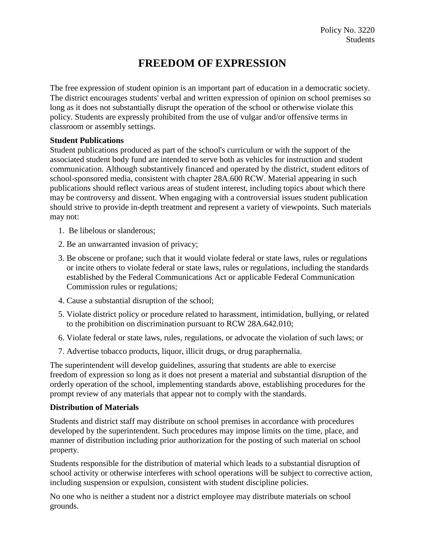## **FREEDOM OF EXPRESSION**

The free expression of student opinion is an important part of education in a democratic society. The district encourages students' verbal and written expression of opinion on school premises so long as it does not substantially disrupt the operation of the school or otherwise violate this policy. Students are expressly prohibited from the use of vulgar and/or offensive terms in classroom or assembly settings.

## **Student Publications**

Student publications produced as part of the school's curriculum or with the support of the associated student body fund are intended to serve both as vehicles for instruction and student communication. Although substantively financed and operated by the district, student editors of school-sponsored media, consistent with chapter 28A.600 RCW. Material appearing in such publications should reflect various areas of student interest, including topics about which there may be controversy and dissent. When engaging with a controversial issues student publication should strive to provide in-depth treatment and represent a variety of viewpoints. Such materials may not:

- 1. Be libelous or slanderous;
- 2. Be an unwarranted invasion of privacy;
- 3. Be obscene or profane; such that it would violate federal or state laws, rules or regulations or incite others to violate federal or state laws, rules or regulations, including the standards established by the Federal Communications Act or applicable Federal Communication Commission rules or regulations;
- 4. Cause a substantial disruption of the school;
- 5. Violate district policy or procedure related to harassment, intimidation, bullying, or related to the prohibition on discrimination pursuant to RCW 28A.642.010;
- 6. Violate federal or state laws, rules, regulations, or advocate the violation of such laws; or
- 7. Advertise tobacco products, liquor, illicit drugs, or drug paraphernalia.

The superintendent will develop guidelines, assuring that students are able to exercise freedom of expression so long as it does not present a material and substantial disruption of the orderly operation of the school, implementing standards above, establishing procedures for the prompt review of any materials that appear not to comply with the standards.

## **Distribution of Materials**

Students and district staff may distribute on school premises in accordance with procedures developed by the superintendent. Such procedures may impose limits on the time, place, and manner of distribution including prior authorization for the posting of such material on school property.

Students responsible for the distribution of material which leads to a substantial disruption of school activity or otherwise interferes with school operations will be subject to corrective action, including suspension or expulsion, consistent with student discipline policies.

No one who is neither a student nor a district employee may distribute materials on school grounds.